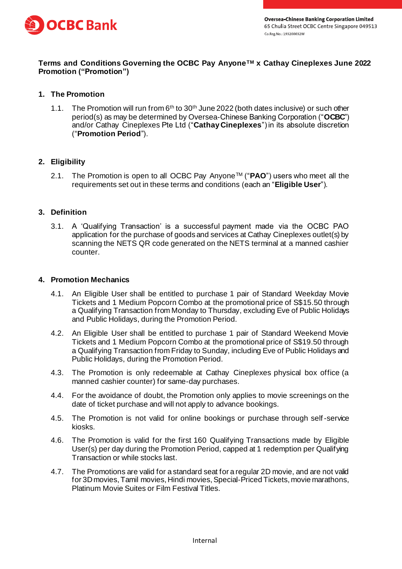

# **Terms and Conditions Governing the OCBC Pay AnyoneTM x Cathay Cineplexes June 2022 Promotion ("Promotion")**

### **1. The Promotion**

1.1. The Promotion will run from 6<sup>th</sup> to 30<sup>th</sup> June 2022 (both dates inclusive) or such other period(s) as may be determined by Oversea-Chinese Banking Corporation ("**OCBC**") and/or Cathay Cineplexes Pte Ltd ("**Cathay Cineplexes**") in its absolute discretion ("**Promotion Period**").

### **2. Eligibility**

2.1. The Promotion is open to all OCBC Pay AnyoneTM ("**PAO**") users who meet all the requirements set out in these terms and conditions (each an "**Eligible User**").

### **3. Definition**

3.1. A 'Qualifying Transaction' is a successful payment made via the OCBC PAO application for the purchase of goods and services at Cathay Cineplexes outlet(s) by scanning the NETS QR code generated on the NETS terminal at a manned cashier counter.

#### **4. Promotion Mechanics**

- 4.1. An Eligible User shall be entitled to purchase 1 pair of Standard Weekday Movie Tickets and 1 Medium Popcorn Combo at the promotional price of S\$15.50 through a Qualifying Transaction from Monday to Thursday, excluding Eve of Public Holidays and Public Holidays, during the Promotion Period.
- 4.2. An Eligible User shall be entitled to purchase 1 pair of Standard Weekend Movie Tickets and 1 Medium Popcorn Combo at the promotional price of S\$19.50 through a Qualifying Transaction from Friday to Sunday, including Eve of Public Holidays and Public Holidays, during the Promotion Period.
- 4.3. The Promotion is only redeemable at Cathay Cineplexes physical box office (a manned cashier counter) for same-day purchases.
- 4.4. For the avoidance of doubt, the Promotion only applies to movie screenings on the date of ticket purchase and will not apply to advance bookings.
- 4.5. The Promotion is not valid for online bookings or purchase through self-service kiosks.
- 4.6. The Promotion is valid for the first 160 Qualifying Transactions made by Eligible User(s) per day during the Promotion Period, capped at 1 redemption per Qualifying Transaction or while stocks last.
- 4.7. The Promotions are valid for a standard seat for a regular 2D movie, and are not valid for 3D movies, Tamil movies, Hindi movies, Special-Priced Tickets, movie marathons, Platinum Movie Suites or Film Festival Titles.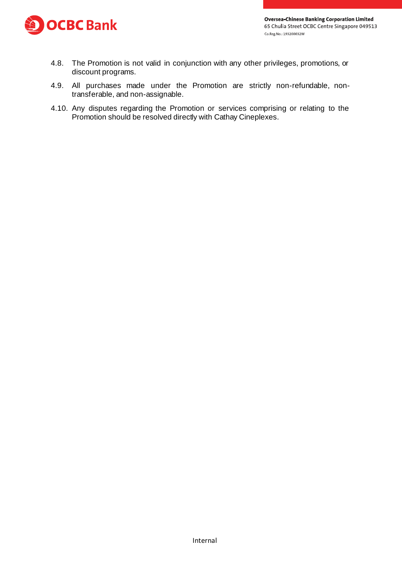

- 4.8. The Promotion is not valid in conjunction with any other privileges, promotions, or discount programs.
- 4.9. All purchases made under the Promotion are strictly non-refundable, nontransferable, and non-assignable.
- 4.10. Any disputes regarding the Promotion or services comprising or relating to the Promotion should be resolved directly with Cathay Cineplexes.